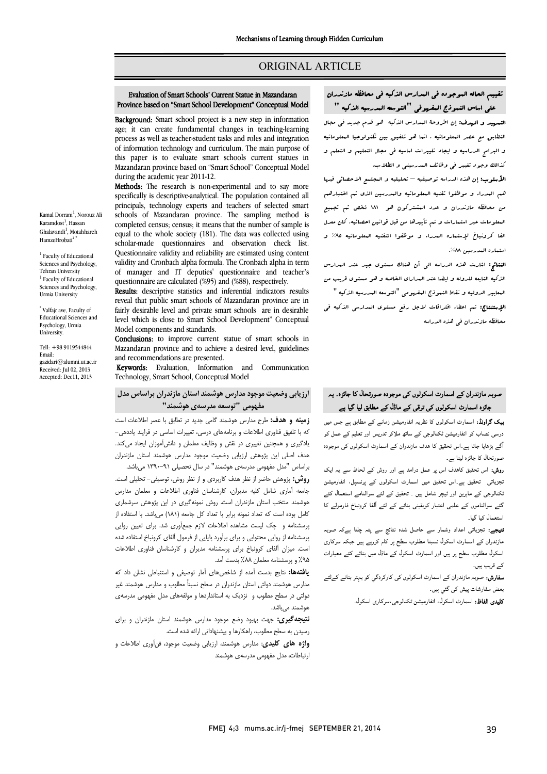## ORIGINAL ARTICLE

#### Evaluation of Smart Schools' Current Statue in Mazandaran Province based on "Smart School Development" Conceptual Model

Ī  $\overline{a}$ 

**Background:** Smart school project is a new step in information **Background:** State school project is a new step in information age; it can create fundamental changes in teaching-learning process as well as teacher-student tasks and roles and integration of information technology and curriculum. The main purpose of Mazandaran province based on "Smart School" Conceptual Model this paper is to evaluate smart schools current statues in during the academic year 2011-12.

during the academic year 2011-12.<br>**Methods**: The research is non-experimental and to say more specifically is descriptive-analytical. The population contained all principals, technology experts and teachers of selected smart schools of Mazandaran province. The sampling method is<br>completed consus consus it mones that the sumber of contrals is equal to the whole society (181). The data was collected using scholar-made questionnaires and observation check list. validity and Cronbach alpha formula. The Cronbach alpha in term of manager and IT deputies' questionnaire and teacher's completed census; census; it means that the number of sample is Questionnaire validity and reliability are estimated using content questionnaire are calculated (%95) and (%88), respectively.

quesuonnaire are calculated (%95) and (%88), respectively.<br>**Results**: descriptive statistics and inferential indicators results reveal that public smart schools of Mazandaran province are in fairly desirable level and private smart schools are in desirable level which is close to Smart School Development" Conceptual Model components and standards.

Conclusions: to improve current statue of smart schools in Mazandaran province and to achieve a desired level, guidelines and recommendations are presented.

**Keywords:** Evaluation, Information and Communication Technology, Smart School, Conceptual Model

# ارزیابی وضعیت موجود مدارس هوشمند استان مازندران براساس مدل مفهومی "توسعه مدرسهي هوشمند"

 زمینه و هدف: طرح مدارس هوشمند گامی جدید در تطابق با عصر اطلاعات است که با تلفیق فناوري اطلاعات و برنامههاي درسی، تغییرات اساسی در فرایند یاددهی- یادگیري و همچنین تغییري در نقش و وظایف معلمان و دانشآموزان ایجاد میکند. هدف اصلی این پژوهش ارزیابی وضعیت موجود مدارس هوشمند استان مازندران براساس "مدل مفهومی مدرسهي هوشمند" در سال تحصیلی -91 1390 میباشد.

براهاس حسن سهوسی سازستی موسسد در سال تحصیلی ۲۰۰۰٬۰۰۰ می بسد.<br>**روش:** پژوهش حاضر از نظر هدف کاربردی و از نظر روش، توصیفی- تحلیلی است. جامعه آماري شامل کلیه مدیران، کارشناسان فناوري اطلاعات و معلمان مدارس هوشمند منتخب استان مازندران است. روش نمونهگیري در این پژوهش سرشماري کامل بوده است که تعداد نمونه برابر با تعداد کل جامعه (181) میباشد. با استفاده از پرسشنامه و چک لیست مشاهده اطلاعات لازم جمعآوري شد. براي تعیین روایی پرسشنامه از روایی محتوایی و براي برآورد پایایی از فرمول آلفاي کرونباخ استفاده شده است. میزان آلفاي کرونباخ براي پرسشنامه مدیران و کارشناسان فناوري اطلاعات %95 و پرسشنامه معلمان %88 بدست آمد.

<sub>س</sub> ۱٫۰۰۰ پرسست به سیست ۲٫۰۰۰ بیست .سه<br>**یافتهها:** نتایج بدست آمده از شاخصهای آمار توصیفی و استنباطی نشان داد که ..<br>مدارس هوشمند دولتی استان مازندران در سطح نسبتاً مطلوب و مدارس هوشمند غیر دولتی در سطح مطلوب و نزدیک به استانداردها و مولفههاي مدل مفهومی مدرسهي هوشمند میباشد.

 نتیجهگیري: جهت بهبود وضع موجود مدارس هوشمند استان مازندران و براي رسیدن به سطح مطلوب، راهکارها و پیشنهاداتی ارائه شده است.

 واژه هاي کلیدي: مدارس هوشمند، ارزیابی وضعیت موجود، فنآوري اطلاعات و ارتباطات، مدل مفهومی مدرسهي هوشمند

 تقییم الحاله الموجوده فی المدارس الذکیه فی محافظه مازندران علی اساس النموذج المفهوفی "التوسعه المدرسیه الذکیه " التمهید و الهدف: إن اطروحۀ المدارس الذکیه هو قدم جدید فی مجال التطابق مع عصر المعلوماتیه . انما هو تلفیق بین تکنولوجیا المعلوماتیه و البرامج الدراسیه و ایجاد تغییرات اساسیه فی مجال التعلیم و التعلم و کذالک وجود تغییر فی وظائف المدرسینی و الطلاب.

Ī  $\overline{a}$ 

 الأسلوب: إن هذه الدراسه توصیفیه – تحلیلیه و المجتمع الاحصائی فبها هم المدراء و موظفوا تقنیه المعلوماتیه والمدرسین الذي تم اختبارهم من محافظه مازندران و عدد المشترکون هو 181 شخص تم تجمیع المعلومات عبر استمارات و تم تأییدها من قبل قوانین احصائیه. کان معدل الفا کرونباخ لإستماره المدراء و موظفوا التقنیه المعلوماتیه %95 و استماره المدرسین .%88

 النتائج: اشارت هذه الدراسه الی أن هناك مستوي جید عند المدارس الذکیه التابعه للدوله و ایضا عند المداراي الخاصه و هو مستوي قریب من المعاییر الدولیه و نقاط النموذج المفهومی "التوسعه المدرسیه الذکیه " ا**لإستنتاج:** تم اعطاء افتراقات لاجل رفع مستوی المدارسی الذکیه فی<br>. محافظه مازندران فی هذه الدراسه

## صوبہ مازندران کے اسمارٹ اسکولوں کی موجودہ صورتحال کا جائزہ۔ یہ جائزہ اسمارٹ اسکولوں ک*ی ت*رق*ی کے* ماڈل کے مطابق لیا گیا ہے

**یک گراونڈ:** اسمارٹ اسکولوں کا نظریہ انفارمیشن زمانے کے مطابق ہے جس میں درسی نصاب کو انفارمیشن ٹکنالوجی کے ساتھ ملاکر تدریس اور تعلیم کے عمل کو گے بڑھایا جاتا ہے۔اس تحقیق کا ہدف مازندران کے اسمارٹ اسکولوں کی موجودہ صورتحال کا جائزہ لینا ہے۔

**روش:** اس تحقیق کاهدف اس پر عمل درامد ہے اور روش کے لحاظ سے یہ ایک<br>۔ نجزیاتی تحقیق ہے۔اس تحقیق میں اسمارٹ اسکولوں کے پرنسپل، انفارمیشن<br>. نکنالوجی کے ماہرین اور ٹیچر شامل ہیں ۔ تحقیق کے لئے سوالنامے استعمال کئے<br>گئے اللہ کے سامنے کے سامنے کے تعلیم کے لئے آئنا کے مان نام لوگ گئے سوالناموں کے علمی اعتبار کویقینی بنانے کے لئے آلفا کرونباخ فارمولے کا<br>ستعمال کا گا استعمال کیا گیا۔

۔<br>**نتیجے:** تجزیاتی اعداد وشمار سے حاصل شدہ نتائج سے پتہ چلتا ہےکہ صوبہ ۔<br>مازندران کے اسمارٹ اسکول نسبتا مطلوب سطح پر کام کررہے ہیں جبکہ سرکاری اسکول مطلوب سطح پر ہیں اور اسمارٹ اسکول کے ماڈل میں بتائے کئے معیارات کے قریب ہیں۔

**سفارش:** صوبہ مازندران کے اسمارٹ اسکولوں کی کارکردگي کو بہتر بنانے کےلئے بعض سفارشات پیش کی گئي ہیں۔<br>۔

**کلیدی الفاظ:** اسمارٹ اسکول، انفارمیشن ٹکنالوجی،سرکاری اسکول۔<br>۔

Karamdost<sup>1</sup>, Hassan Ghalavandi<sup>1</sup>, Motahhareh HamzeHrobati<sup>2,\*</sup> <sup>1</sup> Faculty of Educational

Kamal Dorrani<sup>1</sup>, Norouz Ali

Sciences and Psychology, Tehran University <sup>1</sup> Faculty of Educational Sciences and Psychology, Urmia University

\* Valfajr ave, Faculty of Educational Sciences and Psychology, Urmia University.

Tell: +98 9119544844 Email: gazidari@alumni.ut.ac.ir Received: Jul 02, 2013 Accepted: Dec11, 2013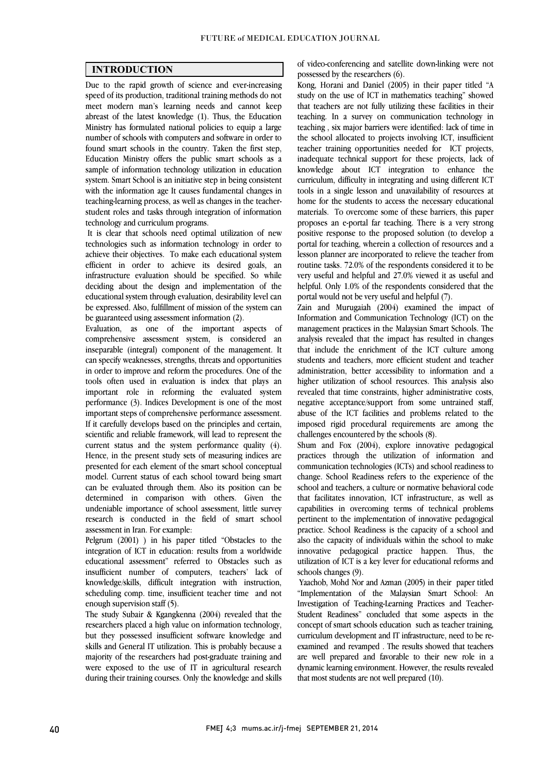$\overline{a}$  $\overline{a}$ 

## INTRODUCTION

 Due to the rapid growth of science and ever-increasing speed of its production, traditional training methods do not abreast of the latest knowledge (1). Thus, the Education Ministry has formulated national policies to equip a large number of schools with computers and software in order to found smart schools in the country. Taken the first step, sample of information technology utilization in education system. Smart School is an initiative step in being consistent with the information age It causes fundamental changes in teaching-learning process, as well as changes in the teacherstudent roles and tasks through integration of information<br>technology and curriculum programs meet modern man's learning needs and cannot keep Education Ministry offers the public smart schools as a technology and curriculum programs.

 It is clear that schools need optimal utilization of new technologies such as information technology in order to achieve their objectives. To make each educational system infrastructure evaluation should be specified. So while deciding about the design and implementation of the educational system through evaluation, desirability level can be expressed. Also, fulfillment of mission of the system can<br>be guaranteed using assessment information (2) efficient in order to achieve its desired goals, an be guaranteed using assessment information (2).

 Evaluation, as one of the important aspects of comprehensive assessment system, is considered an inseparable (integral) component of the management. It in order to improve and reform the procedures. One of the tools often used in evaluation is index that plays an important role in reforming the evaluated system performance (3). Indices Development is one of the most If it carefully develops based on the principles and certain, scientific and reliable framework, will lead to represent the current status and the system performance quality (4). Hence, in the present study sets of measuring indices are model. Current status of each school toward being smart can be evaluated through them. Also its position can be determined in comparison with others. Given the undemable importance of school assessment, httle survey<br>research is conducted in the field of smart school can specify weaknesses, strengths, threats and opportunities important steps of comprehensive performance assessment. presented for each element of the smart school conceptual undeniable importance of school assessment, little survey assessment in Iran. For example:

 Pelgrum (2001) ) in his paper titled "Obstacles to the integration of ICT in education: results from a worldwide insufficient number of computers, teachers' lack of knowledge/skills, difficult integration with instruction, scheduling comp. time, insufficient teacher time and not educational assessment" referred to Obstacles such as enough supervision staff (5).

researchers placed a high value on information technology, but they possessed insufficient software knowledge and skills and General IT utilization. This is probably because a majority of the researchers had post-graduate training and during their training courses. Only the knowledge and skills The study Subair & Kgangkenna (2004) revealed that the were exposed to the use of IT in agricultural research

of video-conferencing and satellite down-linking were not possessed by the researchers (6).

 Kong, Horani and Daniel (2005) in their paper titled "A study on the use of ICT in mathematics teaching" showed teaching. In a survey on communication technology in teaching , six major barriers were identified: lack of time in the school allocated to projects involving ICT, insufficient teacher training opportunities needed for ICT projects, knowledge about ICT integration to enhance the curriculum, difficulty in integrating and using different ICT tools in a single lesson and unavailability of resources at mome for the students to access the necessary educational materials. To overcome some of these barriers, this paper proposes an e-portal far teaching. There is a very strong positive response to the proposed solution (to develop a portal for teaching, wherein a collection of resources and a resson planner are incorporated to refleve the teacher from<br>routine tasks. 72.0% of the respondents considered it to be very useful and helpful and 27.0% viewed it as useful and helpful. Only 1.0% of the respondents considered that the that teachers are not fully utilizing these facilities in their inadequate technical support for these projects, lack of home for the students to access the necessary educational lesson planner are incorporated to relieve the teacher from portal would not be very useful and helpful (7).

portal would not be very useful and helpful (/).<br>Zain and Murugaiah (2004) examined the impact of Information and Communication Technology (ICT) on the management practices in the Malaysian Smart Schools. The analysis revealed that the impact has resulted in changes that include the enrichment of the ICT culture among administration, better accessibility to information and a higher utilization of school resources. This analysis also revealed that time constraints, higher administrative costs, negative acceptance/support from some untrained staff, imposed rigid procedural requirements are among the students and teachers, more efficient student and teacher abuse of the ICT facilities and problems related to the challenges encountered by the schools (8).

 Shum and Fox (2004), explore innovative pedagogical communication technologies (ICTs) and school readiness to change. School Readiness refers to the experience of the school and teachers, a culture or normative behavioral code that facilitates innovation, ICT infrastructure, as well as pertinent to the implementation of innovative pedagogical practice. School Readiness is the capacity of a school and also the capacity of individuals within the school to make innovative pedagogical practice happen. Thus, the utilization of ICT is a key lever for educational reforms and schools changes  $(0)$ practices through the utilization of information and capabilities in overcoming terms of technical problems schools changes (9).

 Yaachob, Mohd Nor and Azman (2005) in their paper titled "Implementation of the Malaysian Smart School: An Investigation of Teaching-Learning Practices and Teacher- concept of smart schools education such as teacher training, curriculum development and IT infrastructure, need to be re- examined and revamped . The results showed that teachers are well prepared and favorable to their new role in a dynamic learning environment. However, the results revealed<br>that most students are not well prepared (10) Student Readiness" concluded that some aspects in the that most students are not well prepared (10).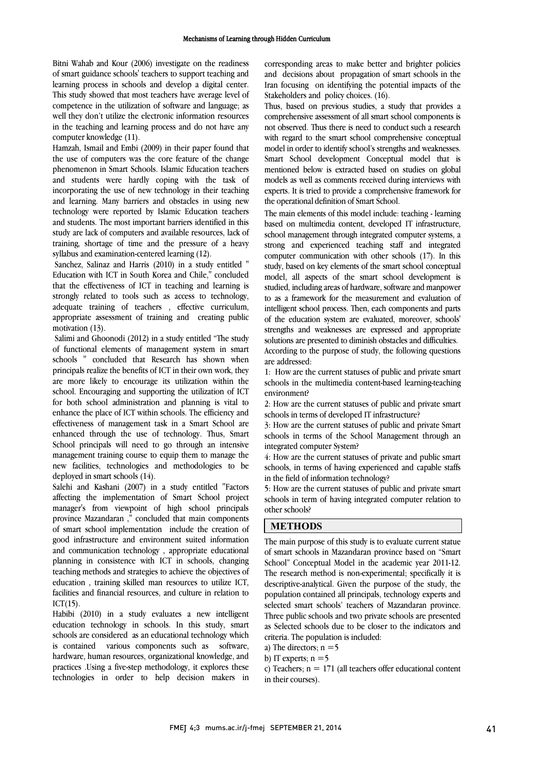Bitni Wahab and Kour (2006) investigate on the readiness of smart guidance schools' teachers to support teaching and learning process in schools and develop a digital center. This study showed that most teachers have average level of well they don't utilize the electronic information resources in the teaching and learning process and do not have any competence in the utilization of software and language; as computer knowledge (11).

riamzan, ismail and embi (2009) in their paper iound that<br>the use of computers was the core feature of the change phenomenon in Smart Schools. Islamic Education teachers and students were hardly coping with the task of incorporating the use of new technology in their teaching and learning. Many barriers and obstactes in using new<br>technology were reported by Islamic Education teachers and students. The most important barriers identified in this study are lack of computers and available resources, lack of training, shortage of time and the pressure of a heavy Hamzah, Ismail and Embi (2009) in their paper found that and learning. Many barriers and obstacles in using new syllabus and examination-centered learning (12).

 Sanchez, Salinaz and Harris (2010) in a study entitled " Education with ICT in South Korea and Chile," concluded that the effectiveness of ICT in teaching and learning is strongly related to tools such as access to technology, adequate training of teachers ; enceive curriculum,<br>appropriate assessment of training and creating public adequate training of teachers , effective curriculum, motivation (13).

 Salimi and Ghoonodi (2012) in a study entitled "The study of functional elements of management system in smart principals realize the benefits of ICT in their own work, they are more likely to encourage its utilization within the school. Encouraging and supporting the utilization of ICT for both school administration and planning is vital to effectiveness of management task in a Smart School are enhanced through the use of technology. Thus, Smart School principals will need to go through an intensive management training course to equip them to manage the new facilities, technologies and methodologies to be deployed in smart schools (14) schools " concluded that Research has shown when enhance the place of ICT within schools. The efficiency and deployed in smart schools (14).

 Salehi and Kashani (2007) in a study entitled "Factors affecting the implementation of Smart School project province Mazandaran ," concluded that main components of smart school implementation include the creation of good infrastructure and environment suited information and communication technology , appropriate educational planning in consistence with 101 in schools, changing<br>teaching methods and strategies to achieve the objectives of education , training skilled man resources to utilize ICT, facilities and financial resources, and culture in relation to manager's from viewpoint of high school principals planning in consistence with ICT in schools, changing  $ICT(15)$ .

 Habibi (2010) in a study evaluates a new intelligent education technology in schools. In this study, smart schools are considered as an educational technology which software. hardware, human resources, organizational knowledge, and technologies in order to help decision makers in is contained various components such as practices .Using a five-step methodology, it explores these

 corresponding areas to make better and brighter policies and decisions about propagation of smart schools in the Iran focusing on identifying the potential impacts of the Stakeholders and policy choices. (16).

 comprehensive assessment of all smart school components is with regard to the smart school comprehensive conceptual model in order to identify school s strengths and weaknesses.<br>Smart School development Conceptual model that is mentioned below is extracted based on studies on global models as well as comments received during interviews with experts. It is tried to provide a comprehensive framework for Thus, based on previous studies, a study that provides a not observed. Thus there is need to conduct such a research model in order to identify school's strengths and weaknesses. the operational definition of Smart School.

 The main elements of this model include: teaching - learning based on multimedia content, developed IT infrastructure, school management through integrated computer systems, a strong and experienced teaching staff and integrated computer communication with other schools (17). In this model, all aspects of the smart school development is studied, including areas of hardware, software and manpower to as a framework for the measurement and evaluation of Intemgent school process. Then, each components and parts<br>of the education system are evaluated, moreover, schools' strengths and weaknesses are expressed and appropriate solutions are presented to diminish obstacles and difficulties. According to the purpose of study, the following questions study, based on key elements of the smart school conceptual intelligent school process. Then, each components and parts are addressed:

are addressed:<br>1: How are the current statuses of public and private smart schools in the multimedia content-based learning-teaching environment?

 2: How are the current statuses of public and private smart schools in terms of developed IT infrastructure?

 3: How are the current statuses of public and private Smart schools in terms of the School Management through an integrated computer System?

 4: How are the current statuses of private and public smart schools, in terms of having experienced and capable staffs<br>in the field of information technology? in the field of information technology?

 5: How are the current statuses of public and private smart schools in term of having integrated computer relation to other schools?

## METHODS

 The main purpose of this study is to evaluate current statue of smart schools in Mazandaran province based on "Smart School Conceptual model in the academic year 2011-12.<br>The research method is non-experimental; specifically it is descriptive-analytical. Given the purpose of the study, the population contained all principals, technology experts and selected smart schools' teachers of Mazandaran province. .<br>. as Selected schools due to be closer to the indicators and criteria. The population is included: School" Conceptual Model in the academic year 2011-12. Three public schools and two private schools are presented criteria. The population is included:

- a) The directors;  $n = 5$
- b) IT experts;  $n = 5$

c) Teachers;  $n = 171$  (all teachers offer educational content<br>in their courses) in their courses).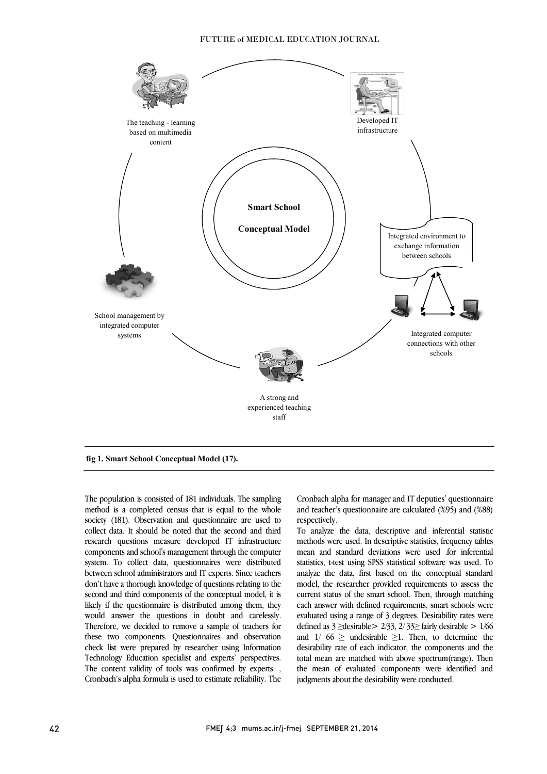#### FUTURE of MEDICAL EDUCATION JOURNAL



I

fig 1. Smart School Conceptual Model (17).

 The population is consisted of 181 individuals. The sampling method is a completed census that is equal to the whole collect data. It should be noted that the second and third research questions measure developed IT infrastructure components and school's management through the computer system. To collect data, questionnaires were distributed don't have a thorough knowledge of questions relating to the second and third components of the conceptual model, it is likely if the questionnaire is distributed among them, they would answer the questions in doubt and carelessly. these two components. Questionnaires and observation check list were prepared by researcher using Information Technology Education specialist and experts' perspectives. Cronbach's alpha formula is used to estimate reliability. The society (181). Observation and questionnaire are used to between school administrators and IT experts. Since teachers Therefore, we decided to remove a sample of teachers for The content validity of tools was confirmed by experts.

 Cronbach alpha for manager and IT deputies' questionnaire and teacher's questionnaire are calculated (%95) and (%88) respectively.

Ī

 To analyze the data, descriptive and inferential statistic methods were used. In descriptive statistics, frequency tables mean and standard deviations were used .for inferential statistics, t-test using SPSS statistical software was used. To managed the that, that based on the conceptual standard current status of the smart school. Then, through matching each answer with defined requirements, smart schools were evaluated using a range of 3 degrees. Desirability rates were and  $1/66 \geq$  undesirable  $\geq 1$ . Then, to determine the desirability rate of each indicator, the components and the total mean are matched with above spectrum(range). Then the mean of evaluated components were identified and analyze the data, first based on the conceptual standard defined as  $3 \geq$  desirable  $> 2/33$ ,  $2/33 \geq$  fairly desirable  $> 1/66$ judgments about the desirability were conducted.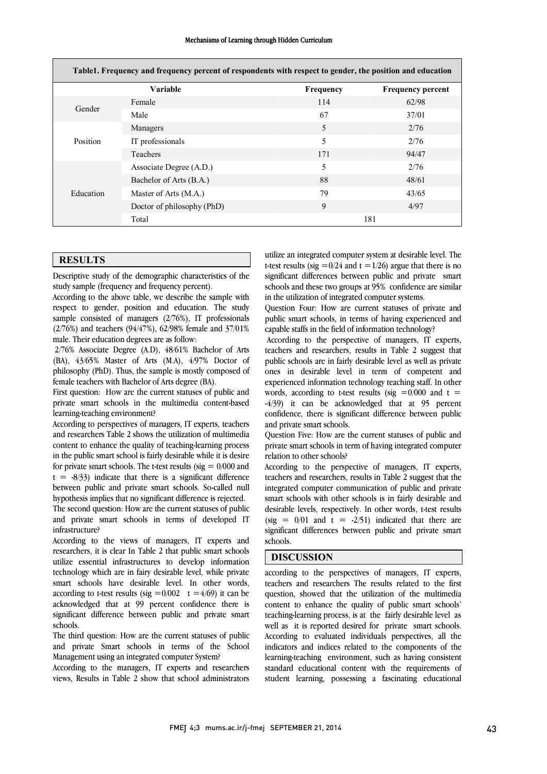| Mechanisms of Learning through Hidden Curriculum |  |  |  |  |  |
|--------------------------------------------------|--|--|--|--|--|
|--------------------------------------------------|--|--|--|--|--|

| Table1. Frequency and frequency percent of respondents with respect to gender, the position and education |                            |           |                          |  |  |  |  |
|-----------------------------------------------------------------------------------------------------------|----------------------------|-----------|--------------------------|--|--|--|--|
|                                                                                                           | <b>Variable</b>            | Frequency | <b>Frequency percent</b> |  |  |  |  |
| Gender                                                                                                    | Female                     | 114       | 62/98                    |  |  |  |  |
|                                                                                                           | Male                       | 67        | 37/01                    |  |  |  |  |
| Position                                                                                                  | Managers                   | 5         | 2/76                     |  |  |  |  |
|                                                                                                           | IT professionals           | 5         | 2/76                     |  |  |  |  |
|                                                                                                           | Teachers                   | 171       | 94/47                    |  |  |  |  |
| Education                                                                                                 | Associate Degree (A.D.)    | 5         | 2/76                     |  |  |  |  |
|                                                                                                           | Bachelor of Arts (B.A.)    | 88        | 48/61                    |  |  |  |  |
|                                                                                                           | Master of Arts (M.A.)      | 79        | 43/65                    |  |  |  |  |
|                                                                                                           | Doctor of philosophy (PhD) | 9         | 4/97                     |  |  |  |  |
|                                                                                                           | Total                      | 181       |                          |  |  |  |  |

## **RESULTS**

Descriptive study of the demographic characteristics of the study sample (frequency and frequency percent).

According to the above table, we describe the sample with respect to gender, position and education. The study sample consisted of managers (2/76%), IT professionals (2/76%) and teachers (94/47%), 62/98% female and 37/01% male. Their education degrees are as follow:

2/76% Associate Degree (A.D), 48/61% Bachelor of Arts (BA), 43/65% Master of Arts (M.A), 4/97% Doctor of philosophy (PhD). Thus, the sample is mostly composed of female teachers with Bachelor of Arts degree (BA).

First question: How are the current statuses of public and private smart schools in the multimedia content-based learning-teaching environment?

According to perspectives of managers, IT experts, teachers and researchers Table 2 shows the utilization of multimedia content to enhance the quality of teaching-learning process in the public smart school is fairly desirable while it is desire for private smart schools. The t-test results ( $sig = 0/000$  and  $t = -8/33$ ) indicate that there is a significant difference between public and private smart schools. So-called null hypothesis implies that no significant difference is rejected. The second question: How are the current statuses of public and private smart schools in terms of developed IT infrastructure?

According to the views of managers, IT experts and researchers, it is clear In Table 2 that public smart schools utilize essential infrastructures to develop information technology which are in fairy desirable level, while private smart schools have desirable level. In other words, according to t-test results (sig  $= 0/002$  t  $= 4/69$ ) it can be acknowledged that at 99 percent confidence there is significant difference between public and private smart schools.

The third question: How are the current statuses of public and private Smart schools in terms of the School Management using an integrated computer System?

According to the managers, IT experts and researchers views, Results in Table 2 show that school administrators

 utilize an integrated computer system at desirable level. The significant differences between public and private smart schools and these two groups at 95% confidence are similar t-test results (sig  $= 0/24$  and t  $= 1/26$ ) argue that there is no in the utilization of integrated computer systems.

ľ public smart schools, in terms of having experienced and<br>canable staffs in the field of information technology? Question Four: How are current statuses of private and capable staffs in the field of information technology?

 According to the perspective of managers, IT experts, teachers and researchers, results in Table 2 suggest that public schools are in fairly desirable level as well as private<br>ones in desirable level in term of competent and experienced information technology teaching staff. In other words, according to t-test results (sig  $=0/000$  and t = -4/39) it can be acknowledged that at 95 percent confidence, there is significant difference between public<br>and private smart schools public schools are in fairly desirable level as well as private and private smart schools.

 Question Five: How are the current statuses of public and private smart schools in term of having integrated computer relation to other schools?

relation to other schools?<br>According to the perspective of managers, IT experts, teachers and researchers, results in Table 2 suggest that the integrated computer communication of public and private smart schools with other schools is in fairly desirable and desirable levels, respectively. In other words, t-test results significant differences between public and private smart (sig =  $0/01$  and t =  $-2/51$ ) indicated that there are schools.

### DISCUSSION

 according to the perspectives of managers, IT experts, teachers and researchers The results related to the first question, showed that the utilization of the multimedia content to enhance the quality of public smart schools' well as it is reported desired for private smart schools. According to evaluated individuals perspectives, all the indicators and indices related to the components of the learning-teaching environment, such as having consistent student learning, possessing a fascinating educational teaching-learning process, is at the fairly desirable level as standard educational content with the requirements of

Ī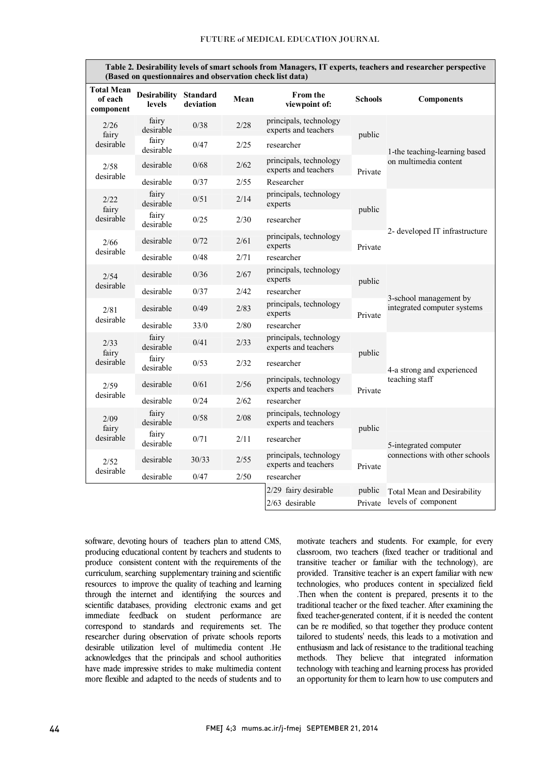| Table 2. Desirability levels of smart schools from Managers, IT experts, teachers and researcher perspective<br>(Based on questionnaires and observation check list data) |                                        |           |      |                                                |                |                                                         |  |  |
|---------------------------------------------------------------------------------------------------------------------------------------------------------------------------|----------------------------------------|-----------|------|------------------------------------------------|----------------|---------------------------------------------------------|--|--|
| <b>Total Mean</b><br>of each<br>component                                                                                                                                 | Desirability Standard<br><b>levels</b> | deviation | Mean | <b>From the</b><br>viewpoint of:               | <b>Schools</b> | <b>Components</b>                                       |  |  |
| 2/26<br>fairy<br>desirable                                                                                                                                                | fairy<br>desirable                     | 0/38      | 2/28 | principals, technology<br>experts and teachers | public         | 1-the teaching-learning based<br>on multimedia content  |  |  |
|                                                                                                                                                                           | fairy<br>desirable                     | 0/47      | 2/25 | researcher                                     |                |                                                         |  |  |
| 2/58<br>desirable                                                                                                                                                         | desirable                              | 0/68      | 2/62 | principals, technology<br>experts and teachers | Private        |                                                         |  |  |
|                                                                                                                                                                           | desirable                              | 0/37      | 2/55 | Researcher                                     |                |                                                         |  |  |
| 2/22<br>fairy                                                                                                                                                             | fairy<br>desirable                     | 0/51      | 2/14 | principals, technology<br>experts              |                | 2- developed IT infrastructure                          |  |  |
| desirable                                                                                                                                                                 | fairy<br>desirable                     | 0/25      | 2/30 | researcher                                     | public         |                                                         |  |  |
| 2/66<br>desirable                                                                                                                                                         | desirable                              | 0/72      | 2/61 | principals, technology<br>experts              | Private        |                                                         |  |  |
|                                                                                                                                                                           | desirable                              | 0/48      | 2/71 | researcher                                     |                |                                                         |  |  |
| 2/54                                                                                                                                                                      | desirable                              | 0/36      | 2/67 | principals, technology<br>experts              | public         | 3-school management by<br>integrated computer systems   |  |  |
| desirable                                                                                                                                                                 | desirable                              | 0/37      | 2/42 | researcher                                     |                |                                                         |  |  |
| 2/81                                                                                                                                                                      | desirable                              | 0/49      | 2/83 | principals, technology<br>experts              | Private        |                                                         |  |  |
| desirable                                                                                                                                                                 | desirable                              | 33/0      | 2/80 | researcher                                     |                |                                                         |  |  |
| 2/33<br>fairy                                                                                                                                                             | fairy<br>desirable                     | 0/41      | 2/33 | principals, technology<br>experts and teachers | public         | 4-a strong and experienced<br>teaching staff            |  |  |
| desirable                                                                                                                                                                 | fairy<br>desirable                     | 0/53      | 2/32 | researcher                                     |                |                                                         |  |  |
| 2/59                                                                                                                                                                      | desirable                              | 0/61      | 2/56 | principals, technology<br>experts and teachers | Private        |                                                         |  |  |
| desirable                                                                                                                                                                 | desirable                              | 0/24      | 2/62 | researcher                                     |                |                                                         |  |  |
| 2/09<br>fairy<br>desirable                                                                                                                                                | fairy<br>desirable                     | 0/58      | 2/08 | principals, technology<br>experts and teachers | public         | 5-integrated computer<br>connections with other schools |  |  |
|                                                                                                                                                                           | fairy<br>desirable                     | 0/71      | 2/11 | researcher                                     |                |                                                         |  |  |
| 2/52<br>desirable                                                                                                                                                         | desirable                              | 30/33     | 2/55 | principals, technology<br>experts and teachers | Private        |                                                         |  |  |
|                                                                                                                                                                           | desirable                              | 0/47      | 2/50 | researcher                                     |                |                                                         |  |  |
|                                                                                                                                                                           |                                        |           |      | 2/29 fairy desirable                           | public         | <b>Total Mean and Desirability</b>                      |  |  |
|                                                                                                                                                                           |                                        |           |      | $2/63$ desirable                               | Private        | levels of component                                     |  |  |

software, devoting hours of teachers plan to attend CMS, producing educational content by teachers and students to produce consistent content with the requirements of the curriculum, searching supplementary training and scientific resources to improve the quality of teaching and learning through the internet and identifying the sources and scientific databases, providing electronic exams and get immediate feedback on student performance are correspond to standards and requirements set. The researcher during observation of private schools reports desirable utilization level of multimedia content .He acknowledges that the principals and school authorities have made impressive strides to make multimedia content more flexible and adapted to the needs of students and to motivate teachers and students. For example, for every classroom, two teachers (fixed teacher or traditional and transitive teacher or familiar with the technology), are provided. Transitive teacher is an expert familiar with new technologies, who produces content in specialized field .Then when the content is prepared, presents it to the traditional teacher or the fixed teacher. After examining the fixed teacher-generated content, if it is needed the content can be re modified, so that together they produce content tailored to students' needs, this leads to a motivation and enthusiasm and lack of resistance to the traditional teaching methods. They believe that integrated information technology with teaching and learning process has provided an opportunity for them to learn how to use computers and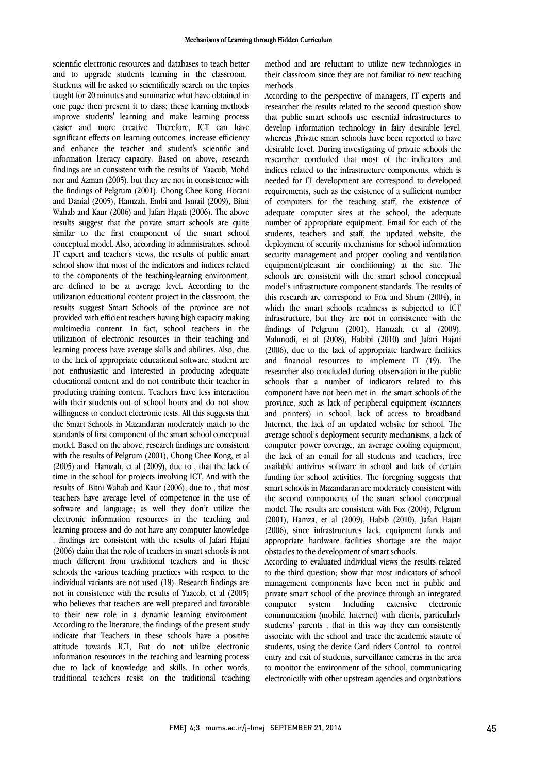#### Mechanisms of Learning through Hidden Curriculum

scientific electronic resources and databases to teach better and to upgrade students learning in the classroom. Students will be asked to scientifically search on the topics taught for 20 minutes and summarize what have obtained in one page then present it to class; these learning methods improve students' learning and make learning process easier and more creative. Therefore, ICT can have significant effects on learning outcomes, increase efficiency and enhance the teacher and student's scientific and information literacy capacity. Based on above, research findings are in consistent with the results of Yaacob, Mohd nor and Azman (2005), but they are not in consistence with the findings of Pelgrum (2001), Chong Chee Kong, Horani and Danial (2005), Hamzah, Embi and Ismail (2009), Bitni Wahab and Kaur (2006) and Jafari Hajati (2006). The above results suggest that the private smart schools are quite similar to the first component of the smart school conceptual model. Also, according to administrators, school IT expert and teacher's views, the results of public smart school show that most of the indicators and indices related to the components of the teaching-learning environment, are defined to be at average level. According to the utilization educational content project in the classroom, the results suggest Smart Schools of the province are not provided with efficient teachers having high capacity making multimedia content. In fact, school teachers in the utilization of electronic resources in their teaching and learning process have average skills and abilities. Also, due to the lack of appropriate educational software, student are not enthusiastic and interested in producing adequate educational content and do not contribute their teacher in producing training content. Teachers have less interaction with their students out of school hours and do not show willingness to conduct electronic tests. All this suggests that the Smart Schools in Mazandaran moderately match to the standards of first component of the smart school conceptual model. Based on the above, research findings are consistent with the results of Pelgrum (2001), Chong Chee Kong, et al (2005) and Hamzah, et al (2009), due to , that the lack of time in the school for projects involving ICT, And with the results of Bitni Wahab and Kaur (2006), due to , that most teachers have average level of competence in the use of software and language; as well they don't utilize the electronic information resources in the teaching and learning process and do not have any computer knowledge . findings are consistent with the results of Jafari Hajati (2006) claim that the role of teachers in smart schools is not much different from traditional teachers and in these schools the various teaching practices with respect to the individual variants are not used (18). Research findings are not in consistence with the results of Yaacob, et al (2005) who believes that teachers are well prepared and favorable to their new role in a dynamic learning environment. According to the literature, the findings of the present study indicate that Teachers in these schools have a positive attitude towards ICT, But do not utilize electronic information resources in the teaching and learning process due to lack of knowledge and skills. In other words, traditional teachers resist on the traditional teaching method and are reluctant to utilize new technologies in their classroom since they are not familiar to new teaching methods.

According to the perspective of managers, IT experts and researcher the results related to the second question show that public smart schools use essential infrastructures to develop information technology in fairy desirable level, whereas ,Private smart schools have been reported to have desirable level. During investigating of private schools the researcher concluded that most of the indicators and indices related to the infrastructure components, which is needed for IT development are correspond to developed requirements, such as the existence of a sufficient number of computers for the teaching staff, the existence of adequate computer sites at the school, the adequate number of appropriate equipment, Email for each of the students, teachers and staff, the updated website, the deployment of security mechanisms for school information security management and proper cooling and ventilation equipment(pleasant air conditioning) at the site. The schools are consistent with the smart school conceptual model's infrastructure component standards. The results of this research are correspond to Fox and Shum (2004), in which the smart schools readiness is subjected to ICT infrastructure, but they are not in consistence with the findings of Pelgrum (2001), Hamzah, et al (2009), Mahmodi, et al (2008), Habibi (2010) and Jafari Hajati (2006), due to the lack of appropriate hardware facilities and financial resources to implement IT (19). The researcher also concluded during observation in the public schools that a number of indicators related to this component have not been met in the smart schools of the province, such as lack of peripheral equipment (scanners and printers) in school, lack of access to broadband Internet, the lack of an updated website for school, The average school's deployment security mechanisms, a lack of computer power coverage, an average cooling equipment, the lack of an e-mail for all students and teachers, free available antivirus software in school and lack of certain funding for school activities. The foregoing suggests that smart schools in Mazandaran are moderately consistent with the second components of the smart school conceptual model. The results are consistent with Fox (2004), Pelgrum (2001), Hamza, et al (2009), Habib (2010), Jafari Hajati (2006), since infrastructures lack, equipment funds and appropriate hardware facilities shortage are the major obstacles to the development of smart schools.

According to evaluated individual views the results related to the third question; show that most indicators of school management components have been met in public and private smart school of the province through an integrated computer system Including extensive electronic communication (mobile, Internet) with clients, particularly students' parents , that in this way they can consistently associate with the school and trace the academic statute of students, using the device Card riders Control to control entry and exit of students, surveillance cameras in the area to monitor the environment of the school, communicating electronically with other upstream agencies and organizations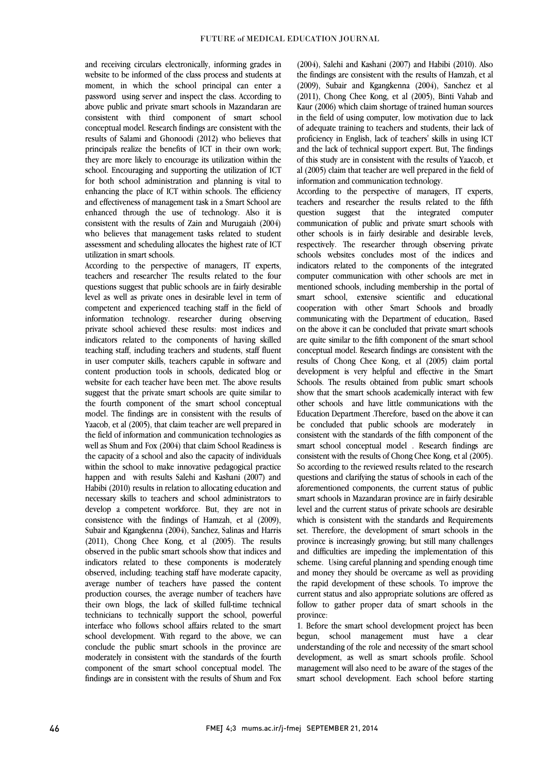and receiving circulars electronically, informing grades in website to be informed of the class process and students at moment, in which the school principal can enter a password using server and inspect the class. According to above public and private smart schools in Mazandaran are consistent with third component of smart school conceptual model. Research findings are consistent with the results of Salami and Ghonoodi (2012) who believes that principals realize the benefits of ICT in their own work; they are more likely to encourage its utilization within the school. Encouraging and supporting the utilization of ICT for both school administration and planning is vital to enhancing the place of ICT within schools. The efficiency and effectiveness of management task in a Smart School are enhanced through the use of technology. Also it is consistent with the results of Zain and Murugaiah (2004) who believes that management tasks related to student assessment and scheduling allocates the highest rate of ICT utilization in smart schools.

According to the perspective of managers, IT experts, teachers and researcher The results related to the four questions suggest that public schools are in fairly desirable level as well as private ones in desirable level in term of competent and experienced teaching staff in the field of information technology. researcher during observing private school achieved these results: most indices and indicators related to the components of having skilled teaching staff, including teachers and students, staff fluent in user computer skills, teachers capable in software and content production tools in schools, dedicated blog or website for each teacher have been met. The above results suggest that the private smart schools are quite similar to the fourth component of the smart school conceptual model. The findings are in consistent with the results of Yaacob, et al (2005), that claim teacher are well prepared in the field of information and communication technologies as well as Shum and Fox (2004) that claim School Readiness is the capacity of a school and also the capacity of individuals within the school to make innovative pedagogical practice happen and with results Salehi and Kashani (2007) and Habibi (2010) results in relation to allocating education and necessary skills to teachers and school administrators to develop a competent workforce. But, they are not in consistence with the findings of Hamzah, et al (2009), Subair and Kgangkenna (2004), Sanchez, Salinas and Harris (2011), Chong Chee Kong, et al (2005). The results observed in the public smart schools show that indices and indicators related to these components is moderately observed, including: teaching staff have moderate capacity, average number of teachers have passed the content production courses, the average number of teachers have their own blogs, the lack of skilled full-time technical technicians to technically support the school, powerful interface who follows school affairs related to the smart school development. With regard to the above, we can conclude the public smart schools in the province are moderately in consistent with the standards of the fourth component of the smart school conceptual model. The findings are in consistent with the results of Shum and Fox

(2004), Salehi and Kashani (2007) and Habibi (2010). Also the findings are consistent with the results of Hamzah, et al (2009), Subair and Kgangkenna (2004), Sanchez et al (2011), Chong Chee Kong, et al (2005), Binti Vahab and Kaur (2006) which claim shortage of trained human sources in the field of using computer, low motivation due to lack of adequate training to teachers and students, their lack of proficiency in English, lack of teachers' skills in using ICT and the lack of technical support expert. But, The findings of this study are in consistent with the results of Yaacob, et al (2005) claim that teacher are well prepared in the field of information and communication technology.

According to the perspective of managers, IT experts, teachers and researcher the results related to the fifth question suggest that the integrated computer communication of public and private smart schools with other schools is in fairly desirable and desirable levels, respectively. The researcher through observing private schools websites concludes most of the indices and indicators related to the components of the integrated computer communication with other schools are met in mentioned schools, including membership in the portal of smart school, extensive scientific and educational cooperation with other Smart Schools and broadly communicating with the Department of education,. Based on the above it can be concluded that private smart schools are quite similar to the fifth component of the smart school conceptual model. Research findings are consistent with the results of Chong Chee Kong, et al (2005) claim portal development is very helpful and effective in the Smart Schools. The results obtained from public smart schools show that the smart schools academically interact with few other schools and have little communications with the Education Department .Therefore, based on the above it can be concluded that public schools are moderately in consistent with the standards of the fifth component of the smart school conceptual model . Research findings are consistent with the results of Chong Chee Kong, et al (2005). So according to the reviewed results related to the research questions and clarifying the status of schools in each of the aforementioned components, the current status of public smart schools in Mazandaran province are in fairly desirable level and the current status of private schools are desirable which is consistent with the standards and Requirements set. Therefore, the development of smart schools in the province is increasingly growing; but still many challenges and difficulties are impeding the implementation of this scheme. Using careful planning and spending enough time and money they should be overcame as well as providing the rapid development of these schools. To improve the current status and also appropriate solutions are offered as follow to gather proper data of smart schools in the province:

1. Before the smart school development project has been begun, school management must have a clear understanding of the role and necessity of the smart school development, as well as smart schools profile. School management will also need to be aware of the stages of the smart school development. Each school before starting